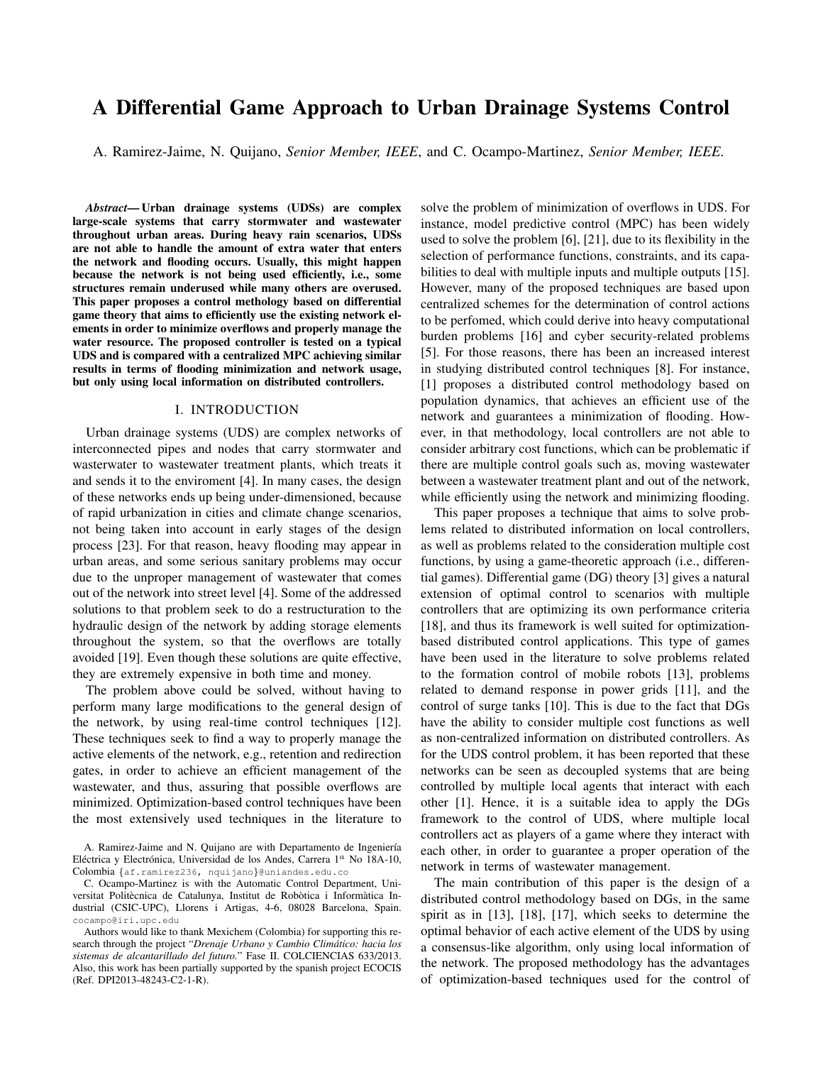# A Differential Game Approach to Urban Drainage Systems Control

A. Ramirez-Jaime, N. Quijano, *Senior Member, IEEE*, and C. Ocampo-Martinez, *Senior Member, IEEE*.

*Abstract*— Urban drainage systems (UDSs) are complex large-scale systems that carry stormwater and wastewater throughout urban areas. During heavy rain scenarios, UDSs are not able to handle the amount of extra water that enters the network and flooding occurs. Usually, this might happen because the network is not being used efficiently, i.e., some structures remain underused while many others are overused. This paper proposes a control methology based on differential game theory that aims to efficiently use the existing network elements in order to minimize overflows and properly manage the water resource. The proposed controller is tested on a typical UDS and is compared with a centralized MPC achieving similar results in terms of flooding minimization and network usage, but only using local information on distributed controllers.

#### I. INTRODUCTION

Urban drainage systems (UDS) are complex networks of interconnected pipes and nodes that carry stormwater and wasterwater to wastewater treatment plants, which treats it and sends it to the enviroment [4]. In many cases, the design of these networks ends up being under-dimensioned, because of rapid urbanization in cities and climate change scenarios, not being taken into account in early stages of the design process [23]. For that reason, heavy flooding may appear in urban areas, and some serious sanitary problems may occur due to the unproper management of wastewater that comes out of the network into street level [4]. Some of the addressed solutions to that problem seek to do a restructuration to the hydraulic design of the network by adding storage elements throughout the system, so that the overflows are totally avoided [19]. Even though these solutions are quite effective, they are extremely expensive in both time and money.

The problem above could be solved, without having to perform many large modifications to the general design of the network, by using real-time control techniques [12]. These techniques seek to find a way to properly manage the active elements of the network, e.g., retention and redirection gates, in order to achieve an efficient management of the wastewater, and thus, assuring that possible overflows are minimized. Optimization-based control techniques have been the most extensively used techniques in the literature to

solve the problem of minimization of overflows in UDS. For instance, model predictive control (MPC) has been widely used to solve the problem [6], [21], due to its flexibility in the selection of performance functions, constraints, and its capabilities to deal with multiple inputs and multiple outputs [15]. However, many of the proposed techniques are based upon centralized schemes for the determination of control actions to be perfomed, which could derive into heavy computational burden problems [16] and cyber security-related problems [5]. For those reasons, there has been an increased interest in studying distributed control techniques [8]. For instance, [1] proposes a distributed control methodology based on population dynamics, that achieves an efficient use of the network and guarantees a minimization of flooding. However, in that methodology, local controllers are not able to consider arbitrary cost functions, which can be problematic if there are multiple control goals such as, moving wastewater between a wastewater treatment plant and out of the network, while efficiently using the network and minimizing flooding.

This paper proposes a technique that aims to solve problems related to distributed information on local controllers, as well as problems related to the consideration multiple cost functions, by using a game-theoretic approach (i.e., differential games). Differential game (DG) theory [3] gives a natural extension of optimal control to scenarios with multiple controllers that are optimizing its own performance criteria [18], and thus its framework is well suited for optimizationbased distributed control applications. This type of games have been used in the literature to solve problems related to the formation control of mobile robots [13], problems related to demand response in power grids [11], and the control of surge tanks [10]. This is due to the fact that DGs have the ability to consider multiple cost functions as well as non-centralized information on distributed controllers. As for the UDS control problem, it has been reported that these networks can be seen as decoupled systems that are being controlled by multiple local agents that interact with each other [1]. Hence, it is a suitable idea to apply the DGs framework to the control of UDS, where multiple local controllers act as players of a game where they interact with each other, in order to guarantee a proper operation of the network in terms of wastewater management.

The main contribution of this paper is the design of a distributed control methodology based on DGs, in the same spirit as in [13], [18], [17], which seeks to determine the optimal behavior of each active element of the UDS by using a consensus-like algorithm, only using local information of the network. The proposed methodology has the advantages of optimization-based techniques used for the control of

A. Ramirez-Jaime and N. Quijano are with Departamento de Ingeniería Eléctrica y Electrónica, Universidad de los Andes, Carrera 1ª No 18A-10, Colombia {af.ramirez236, nquijano}@uniandes.edu.co

C. Ocampo-Martinez is with the Automatic Control Department, Universitat Politècnica de Catalunya, Institut de Robòtica i Informàtica Industrial (CSIC-UPC), Llorens i Artigas, 4-6, 08028 Barcelona, Spain. cocampo@iri.upc.edu

Authors would like to thank Mexichem (Colombia) for supporting this research through the project "*Drenaje Urbano y Cambio Climatico: hacia los ´ sistemas de alcantarillado del futuro.*" Fase II. COLCIENCIAS 633/2013. Also, this work has been partially supported by the spanish project ECOCIS (Ref. DPI2013-48243-C2-1-R).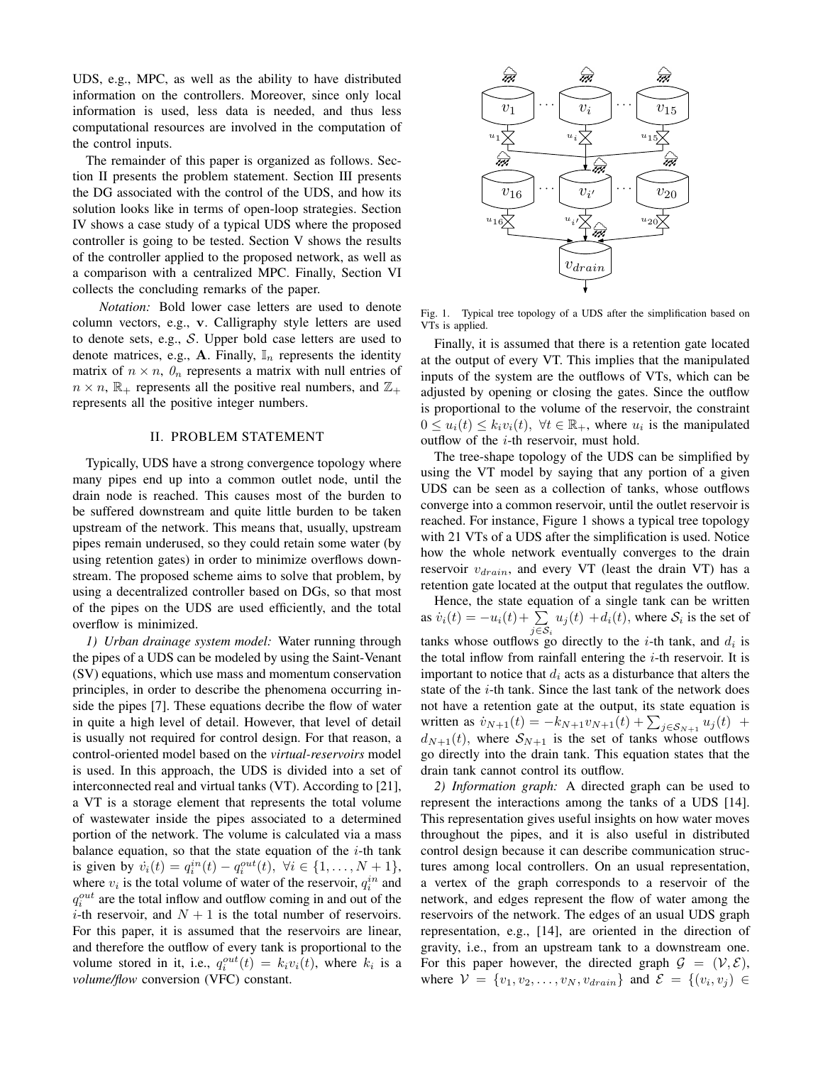UDS, e.g., MPC, as well as the ability to have distributed information on the controllers. Moreover, since only local information is used, less data is needed, and thus less computational resources are involved in the computation of the control inputs.

The remainder of this paper is organized as follows. Section II presents the problem statement. Section III presents the DG associated with the control of the UDS, and how its solution looks like in terms of open-loop strategies. Section IV shows a case study of a typical UDS where the proposed controller is going to be tested. Section V shows the results of the controller applied to the proposed network, as well as a comparison with a centralized MPC. Finally, Section VI collects the concluding remarks of the paper.

*Notation:* Bold lower case letters are used to denote column vectors, e.g., v. Calligraphy style letters are used to denote sets, e.g., S. Upper bold case letters are used to denote matrices, e.g., A. Finally,  $\mathbb{I}_n$  represents the identity matrix of  $n \times n$ ,  $\theta_n$  represents a matrix with null entries of  $n \times n$ ,  $\mathbb{R}_+$  represents all the positive real numbers, and  $\mathbb{Z}_+$ represents all the positive integer numbers.

## II. PROBLEM STATEMENT

Typically, UDS have a strong convergence topology where many pipes end up into a common outlet node, until the drain node is reached. This causes most of the burden to be suffered downstream and quite little burden to be taken upstream of the network. This means that, usually, upstream pipes remain underused, so they could retain some water (by using retention gates) in order to minimize overflows downstream. The proposed scheme aims to solve that problem, by using a decentralized controller based on DGs, so that most of the pipes on the UDS are used efficiently, and the total overflow is minimized.

*1) Urban drainage system model:* Water running through the pipes of a UDS can be modeled by using the Saint-Venant (SV) equations, which use mass and momentum conservation principles, in order to describe the phenomena occurring inside the pipes [7]. These equations decribe the flow of water in quite a high level of detail. However, that level of detail is usually not required for control design. For that reason, a control-oriented model based on the *virtual-reservoirs* model is used. In this approach, the UDS is divided into a set of interconnected real and virtual tanks (VT). According to [21], a VT is a storage element that represents the total volume of wastewater inside the pipes associated to a determined portion of the network. The volume is calculated via a mass balance equation, so that the state equation of the  $i$ -th tank is given by  $\dot{v}_i(t) = q_i^{in}(t) - q_i^{out}(t), \ \forall i \in \{1, ..., N + 1\},$ where  $v_i$  is the total volume of water of the reservoir,  $q_i^{in}$  and  $q_i^{out}$  are the total inflow and outflow coming in and out of the *i*-th reservoir, and  $N + 1$  is the total number of reservoirs. For this paper, it is assumed that the reservoirs are linear, and therefore the outflow of every tank is proportional to the volume stored in it, i.e.,  $q_i^{out}(t) = k_i v_i(t)$ , where  $k_i$  is a *volume/flow* conversion (VFC) constant.



Fig. 1. Typical tree topology of a UDS after the simplification based on VTs is applied.

Finally, it is assumed that there is a retention gate located at the output of every VT. This implies that the manipulated inputs of the system are the outflows of VTs, which can be adjusted by opening or closing the gates. Since the outflow is proportional to the volume of the reservoir, the constraint  $0 \le u_i(t) \le k_i v_i(t)$ ,  $\forall t \in \mathbb{R}_+$ , where  $u_i$  is the manipulated outflow of the  $i$ -th reservoir, must hold.

The tree-shape topology of the UDS can be simplified by using the VT model by saying that any portion of a given UDS can be seen as a collection of tanks, whose outflows converge into a common reservoir, until the outlet reservoir is reached. For instance, Figure 1 shows a typical tree topology with 21 VTs of a UDS after the simplification is used. Notice how the whole network eventually converges to the drain reservoir  $v_{drain}$ , and every VT (least the drain VT) has a retention gate located at the output that regulates the outflow.

Hence, the state equation of a single tank can be written as  $\dot{v}_i(t) = -u_i(t) + \sum_{j \in S_i} u_j(t) + d_i(t)$ , where  $S_i$  is the set of tanks whose outflows go directly to the *i*-th tank, and  $d_i$  is the total inflow from rainfall entering the  $i$ -th reservoir. It is important to notice that  $d_i$  acts as a disturbance that alters the state of the  $i$ -th tank. Since the last tank of the network does not have a retention gate at the output, its state equation is written as  $\dot{v}_{N+1}(t) = -k_{N+1}v_{N+1}(t) + \sum_{j \in S_{N+1}} u_j(t)$  +  $d_{N+1}(t)$ , where  $S_{N+1}$  is the set of tanks whose outflows go directly into the drain tank. This equation states that the drain tank cannot control its outflow.

*2) Information graph:* A directed graph can be used to represent the interactions among the tanks of a UDS [14]. This representation gives useful insights on how water moves throughout the pipes, and it is also useful in distributed control design because it can describe communication structures among local controllers. On an usual representation, a vertex of the graph corresponds to a reservoir of the network, and edges represent the flow of water among the reservoirs of the network. The edges of an usual UDS graph representation, e.g., [14], are oriented in the direction of gravity, i.e., from an upstream tank to a downstream one. For this paper however, the directed graph  $\mathcal{G} = (\mathcal{V}, \mathcal{E})$ , where  $V = \{v_1, v_2, \dots, v_N, v_{drain}\}\$  and  $\mathcal{E} = \{(v_i, v_j) \in$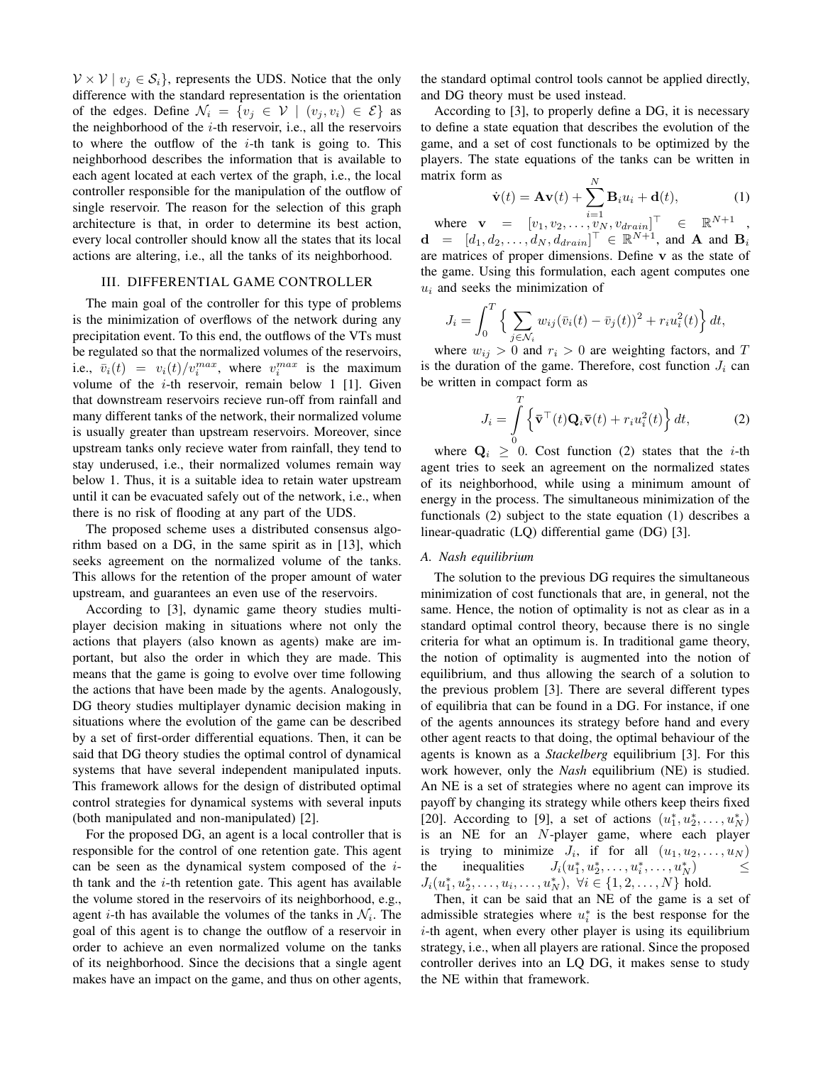$V \times V \mid v_i \in S_i$ , represents the UDS. Notice that the only difference with the standard representation is the orientation of the edges. Define  $\mathcal{N}_i = \{v_i \in \mathcal{V} \mid (v_i, v_i) \in \mathcal{E}\}\$ as the neighborhood of the  $i$ -th reservoir, i.e., all the reservoirs to where the outflow of the  $i$ -th tank is going to. This neighborhood describes the information that is available to each agent located at each vertex of the graph, i.e., the local controller responsible for the manipulation of the outflow of single reservoir. The reason for the selection of this graph architecture is that, in order to determine its best action, every local controller should know all the states that its local actions are altering, i.e., all the tanks of its neighborhood.

### III. DIFFERENTIAL GAME CONTROLLER

The main goal of the controller for this type of problems is the minimization of overflows of the network during any precipitation event. To this end, the outflows of the VTs must be regulated so that the normalized volumes of the reservoirs, i.e.,  $\bar{v}_i(t) = v_i(t)/v_i^{max}$ , where  $v_i^{max}$  is the maximum volume of the  $i$ -th reservoir, remain below 1 [1]. Given that downstream reservoirs recieve run-off from rainfall and many different tanks of the network, their normalized volume is usually greater than upstream reservoirs. Moreover, since upstream tanks only recieve water from rainfall, they tend to stay underused, i.e., their normalized volumes remain way below 1. Thus, it is a suitable idea to retain water upstream until it can be evacuated safely out of the network, i.e., when there is no risk of flooding at any part of the UDS.

The proposed scheme uses a distributed consensus algorithm based on a DG, in the same spirit as in [13], which seeks agreement on the normalized volume of the tanks. This allows for the retention of the proper amount of water upstream, and guarantees an even use of the reservoirs.

According to [3], dynamic game theory studies multiplayer decision making in situations where not only the actions that players (also known as agents) make are important, but also the order in which they are made. This means that the game is going to evolve over time following the actions that have been made by the agents. Analogously, DG theory studies multiplayer dynamic decision making in situations where the evolution of the game can be described by a set of first-order differential equations. Then, it can be said that DG theory studies the optimal control of dynamical systems that have several independent manipulated inputs. This framework allows for the design of distributed optimal control strategies for dynamical systems with several inputs (both manipulated and non-manipulated) [2].

For the proposed DG, an agent is a local controller that is responsible for the control of one retention gate. This agent can be seen as the dynamical system composed of the ith tank and the  $i$ -th retention gate. This agent has available the volume stored in the reservoirs of its neighborhood, e.g., agent *i*-th has available the volumes of the tanks in  $\mathcal{N}_i$ . The goal of this agent is to change the outflow of a reservoir in order to achieve an even normalized volume on the tanks of its neighborhood. Since the decisions that a single agent makes have an impact on the game, and thus on other agents,

the standard optimal control tools cannot be applied directly, and DG theory must be used instead.

According to [3], to properly define a DG, it is necessary to define a state equation that describes the evolution of the game, and a set of cost functionals to be optimized by the players. The state equations of the tanks can be written in matrix form as

$$
\dot{\mathbf{v}}(t) = \mathbf{A}\mathbf{v}(t) + \sum_{i=1}^{N} \mathbf{B}_{i} u_{i} + \mathbf{d}(t),
$$
 (1)

where  $\mathbf{v} = [v_1, v_2, \dots, v_N, v_{drain}]^{\top} \in \mathbb{R}^{N+1}$ ,  $\mathbf{d} = [d_1, d_2, \dots, d_N, d_{drain}]^\top \in \mathbb{R}^{N+1}$ , and **A** and **B**<sub>i</sub> are matrices of proper dimensions. Define v as the state of the game. Using this formulation, each agent computes one  $u_i$  and seeks the minimization of

$$
J_i = \int_0^T \left\{ \sum_{j \in \mathcal{N}_i} w_{ij} (\bar{v}_i(t) - \bar{v}_j(t))^2 + r_i u_i^2(t) \right\} dt,
$$

where  $w_{ij} > 0$  and  $r_i > 0$  are weighting factors, and T is the duration of the game. Therefore, cost function  $J_i$  can be written in compact form as

$$
J_i = \int\limits_0^T \left\{ \bar{\mathbf{v}}^\top(t) \mathbf{Q}_i \bar{\mathbf{v}}(t) + r_i u_i^2(t) \right\} dt, \tag{2}
$$

where  $Q_i \geq 0$ . Cost function (2) states that the *i*-th agent tries to seek an agreement on the normalized states of its neighborhood, while using a minimum amount of energy in the process. The simultaneous minimization of the functionals (2) subject to the state equation (1) describes a linear-quadratic (LQ) differential game (DG) [3].

## *A. Nash equilibrium*

The solution to the previous DG requires the simultaneous minimization of cost functionals that are, in general, not the same. Hence, the notion of optimality is not as clear as in a standard optimal control theory, because there is no single criteria for what an optimum is. In traditional game theory, the notion of optimality is augmented into the notion of equilibrium, and thus allowing the search of a solution to the previous problem [3]. There are several different types of equilibria that can be found in a DG. For instance, if one of the agents announces its strategy before hand and every other agent reacts to that doing, the optimal behaviour of the agents is known as a *Stackelberg* equilibrium [3]. For this work however, only the *Nash* equilibrium (NE) is studied. An NE is a set of strategies where no agent can improve its payoff by changing its strategy while others keep theirs fixed [20]. According to [9], a set of actions  $(u_1^*, u_2^*, \ldots, u_N^*)$ is an NE for an N-player game, where each player is trying to minimize  $J_i$ , if for all  $(u_1, u_2, \ldots, u_N)$ the inequalities  $x_1^*, u_2^*, \ldots, u_i^*, \ldots, u_N^*$   $\leq$  $J_i(u_1^*, u_2^*, \ldots, u_i, \ldots, u_N^*)$ ,  $\forall i \in \{1, 2, \ldots, N\}$  hold.

Then, it can be said that an NE of the game is a set of admissible strategies where  $u_i^*$  is the best response for the  $i$ -th agent, when every other player is using its equilibrium strategy, i.e., when all players are rational. Since the proposed controller derives into an LQ DG, it makes sense to study the NE within that framework.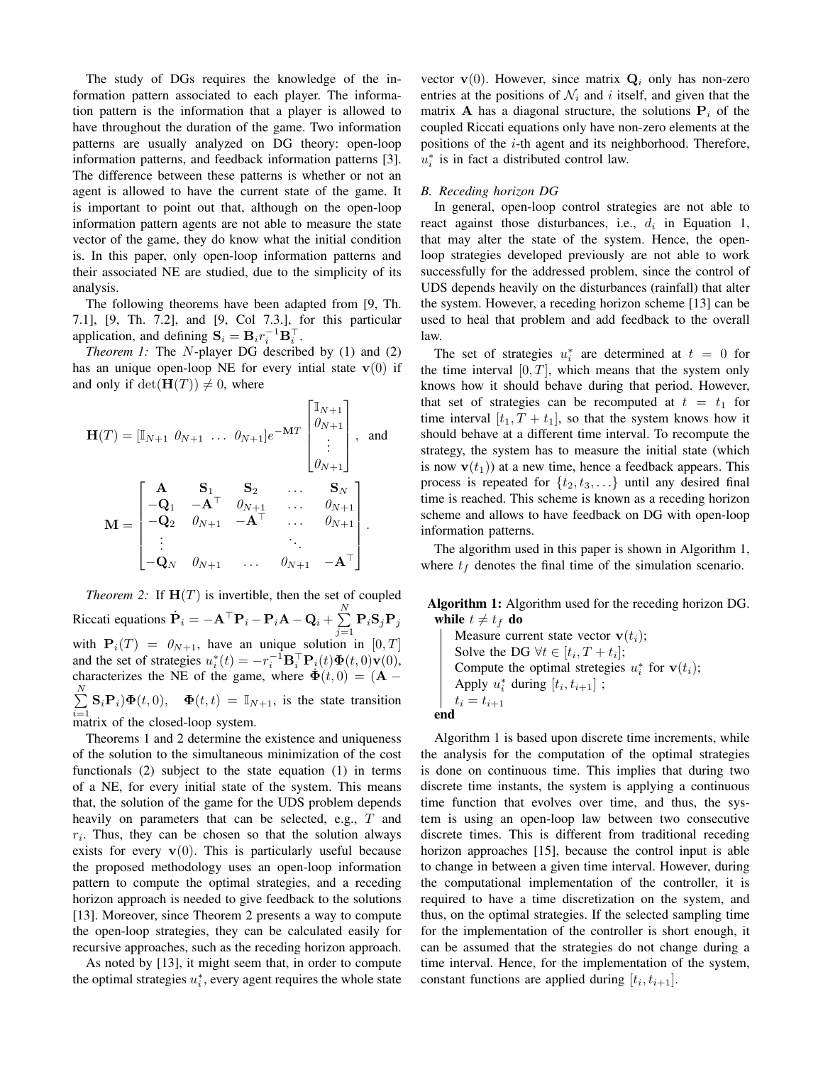The study of DGs requires the knowledge of the information pattern associated to each player. The information pattern is the information that a player is allowed to have throughout the duration of the game. Two information patterns are usually analyzed on DG theory: open-loop information patterns, and feedback information patterns [3]. The difference between these patterns is whether or not an agent is allowed to have the current state of the game. It is important to point out that, although on the open-loop information pattern agents are not able to measure the state vector of the game, they do know what the initial condition is. In this paper, only open-loop information patterns and their associated NE are studied, due to the simplicity of its analysis.

The following theorems have been adapted from [9, Th. 7.1], [9, Th. 7.2], and [9, Col 7.3.], for this particular application, and defining  $\mathbf{S}_i = \mathbf{B}_i r_i^{-1} \mathbf{B}_i^{\top}$ .

*Theorem 1:* The N-player DG described by (1) and (2) has an unique open-loop NE for every intial state  $v(0)$  if and only if  $\det(\mathbf{H}(T)) \neq 0$ , where

$$
\mathbf{H}(T) = [\mathbb{I}_{N+1} \quad \theta_{N+1} \quad \dots \quad \theta_{N+1}] e^{-\mathbf{M}T} \begin{bmatrix} \mathbb{I}_{N+1} \\ \theta_{N+1} \\ \vdots \\ \theta_{N+1} \end{bmatrix}, \text{ and}
$$
\n
$$
\mathbf{M} = \begin{bmatrix} \mathbf{A} & \mathbf{S}_1 & \mathbf{S}_2 & \dots & \mathbf{S}_N \\ -\mathbf{Q}_1 & -\mathbf{A}^\top & \theta_{N+1} & \dots & \theta_{N+1} \\ -\mathbf{Q}_2 & \theta_{N+1} & -\mathbf{A}^\top & \dots & \theta_{N+1} \\ \vdots & \vdots & \ddots & \vdots \\ -\mathbf{Q}_N & \theta_{N+1} & \dots & \theta_{N+1} & -\mathbf{A}^\top \end{bmatrix}.
$$

*Theorem 2:* If  $H(T)$  is invertible, then the set of coupled Riccati equations  $\dot{\mathbf{P}}_i = -\mathbf{A}^\top \mathbf{P}_i - \mathbf{P}_i \mathbf{A} - \mathbf{Q}_i + \sum^N$  $\sum\limits_{j=1} {\bf P}_i {\bf S}_j {\bf P}_j$ with  $P_i(T) = 0_{N+1}$ , have an unique solution in [0, T] and the set of strategies  $u_i^*(t) = -r_i^{-1} \mathbf{B}_i^{\top} \mathbf{P}_i(t) \mathbf{\Phi}(t,0) \mathbf{v}(0)$ , characterizes the NE of the game, where  $\dot{\Phi}(t,0) = (\mathbf{A} - \mathbf{B})$  $\sum^N$  $\sum_{i=1}^{n} \mathbf{S}_i \mathbf{P}_i \mathbf{\Phi}(t, 0), \quad \mathbf{\Phi}(t, t) = \mathbb{I}_{N+1}$ , is the state transition matrix of the closed-loop system.

Theorems 1 and 2 determine the existence and uniqueness of the solution to the simultaneous minimization of the cost functionals (2) subject to the state equation (1) in terms of a NE, for every initial state of the system. This means that, the solution of the game for the UDS problem depends heavily on parameters that can be selected, e.g., T and  $r_i$ . Thus, they can be chosen so that the solution always exists for every  $v(0)$ . This is particularly useful because the proposed methodology uses an open-loop information pattern to compute the optimal strategies, and a receding horizon approach is needed to give feedback to the solutions [13]. Moreover, since Theorem 2 presents a way to compute the open-loop strategies, they can be calculated easily for recursive approaches, such as the receding horizon approach.

As noted by [13], it might seem that, in order to compute the optimal strategies  $u_i^*$ , every agent requires the whole state

vector  $\mathbf{v}(0)$ . However, since matrix  $\mathbf{Q}_i$  only has non-zero entries at the positions of  $\mathcal{N}_i$  and i itself, and given that the matrix A has a diagonal structure, the solutions  $P_i$  of the coupled Riccati equations only have non-zero elements at the positions of the  $i$ -th agent and its neighborhood. Therefore,  $u_i^*$  is in fact a distributed control law.

#### *B. Receding horizon DG*

In general, open-loop control strategies are not able to react against those disturbances, i.e.,  $d_i$  in Equation 1, that may alter the state of the system. Hence, the openloop strategies developed previously are not able to work successfully for the addressed problem, since the control of UDS depends heavily on the disturbances (rainfall) that alter the system. However, a receding horizon scheme [13] can be used to heal that problem and add feedback to the overall law.

The set of strategies  $u_i^*$  are determined at  $t = 0$  for the time interval  $[0, T]$ , which means that the system only knows how it should behave during that period. However, that set of strategies can be recomputed at  $t = t_1$  for time interval  $[t_1, T + t_1]$ , so that the system knows how it should behave at a different time interval. To recompute the strategy, the system has to measure the initial state (which is now  $\mathbf{v}(t_1)$  at a new time, hence a feedback appears. This process is repeated for  $\{t_2, t_3, \ldots\}$  until any desired final time is reached. This scheme is known as a receding horizon scheme and allows to have feedback on DG with open-loop information patterns.

The algorithm used in this paper is shown in Algorithm 1, where  $t_f$  denotes the final time of the simulation scenario.

Algorithm 1: Algorithm used for the receding horizon DG. while  $t \neq t_f$  do

Measure current state vector  $\mathbf{v}(t_i)$ ; Solve the DG  $\forall t \in [t_i, T + t_i];$ Compute the optimal stretegies  $u_i^*$  for  $\mathbf{v}(t_i)$ ; Apply  $u_i^*$  during  $[t_i, t_{i+1}]$ ;  $t_i = t_{i+1}$ end

Algorithm 1 is based upon discrete time increments, while the analysis for the computation of the optimal strategies is done on continuous time. This implies that during two discrete time instants, the system is applying a continuous time function that evolves over time, and thus, the system is using an open-loop law between two consecutive discrete times. This is different from traditional receding horizon approaches [15], because the control input is able to change in between a given time interval. However, during the computational implementation of the controller, it is required to have a time discretization on the system, and thus, on the optimal strategies. If the selected sampling time for the implementation of the controller is short enough, it can be assumed that the strategies do not change during a time interval. Hence, for the implementation of the system, constant functions are applied during  $[t_i, t_{i+1}]$ .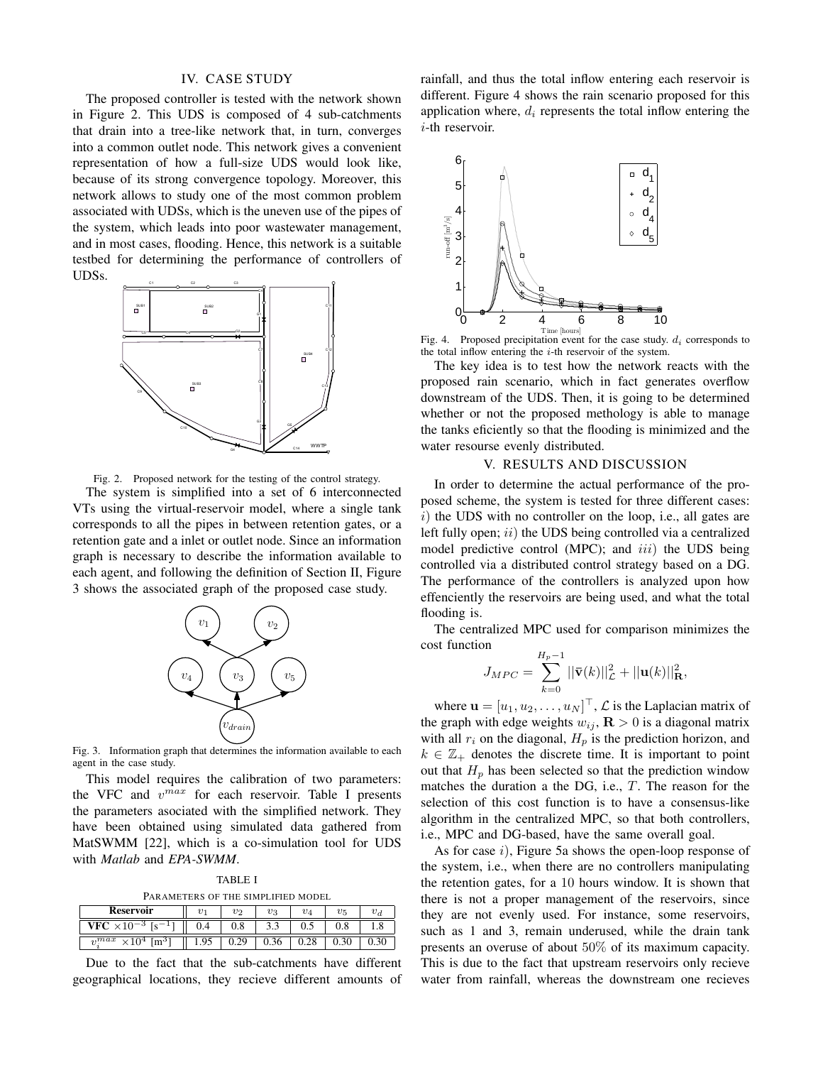#### IV. CASE STUDY

The proposed controller is tested with the network shown in Figure 2. This UDS is composed of 4 sub-catchments that drain into a tree-like network that, in turn, converges into a common outlet node. This network gives a convenient representation of how a full-size UDS would look like, because of its strong convergence topology. Moreover, this network allows to study one of the most common problem associated with UDSs, which is the uneven use of the pipes of the system, which leads into poor wastewater management, and in most cases, flooding. Hence, this network is a suitable testbed for determining the performance of controllers of UDSs.





The system is simplified into a set of 6 interconnected VTs using the virtual-reservoir model, where a single tank corresponds to all the pipes in between retention gates, or a retention gate and a inlet or outlet node. Since an information graph is necessary to describe the information available to each agent, and following the definition of Section II, Figure 3 shows the associated graph of the proposed case study.



Fig. 3. Information graph that determines the information available to each agent in the case study.

This model requires the calibration of two parameters: the VFC and  $v^{max}$  for each reservoir. Table I presents the parameters asociated with the simplified network. They have been obtained using simulated data gathered from MatSWMM [22], which is a co-simulation tool for UDS with *Matlab* and *EPA-SWMM*.

TABLE I

| PARAMETERS OF THE SIMPLIFIED MODEL |  |
|------------------------------------|--|
|------------------------------------|--|

| <b>Reservoir</b>                             | v    | $v_2$ | $v_3$ | $v_4$ | $v_5$ | $v_a$ | they         |
|----------------------------------------------|------|-------|-------|-------|-------|-------|--------------|
| $-10-3$<br>ı٥                                |      | U.ð   | ر. ر  | ິ     | v.o   |       | such         |
| $v^{max}$<br>$\times 10^4$ [m <sup>3</sup> ] | 1.95 | 0.29  | 0.36  | ∪.∠o  | U.SU  | V.3V  | <b>ULCSC</b> |

Due to the fact that the sub-catchments have different geographical locations, they recieve different amounts of rainfall, and thus the total inflow entering each reservoir is different. Figure 4 shows the rain scenario proposed for this application where,  $d_i$  represents the total inflow entering the i-th reservoir.



<sup>Time [hours]</sup><br>Fig. 4. Proposed precipitation event for the case study.  $d_i$  corresponds to the total inflow entering the  $i$ -th reservoir of the system.

The key idea is to test how the network reacts with the proposed rain scenario, which in fact generates overflow downstream of the UDS. Then, it is going to be determined whether or not the proposed methology is able to manage the tanks eficiently so that the flooding is minimized and the water resourse evenly distributed.

## V. RESULTS AND DISCUSSION

In order to determine the actual performance of the proposed scheme, the system is tested for three different cases:  $i)$  the UDS with no controller on the loop, i.e., all gates are left fully open;  $ii)$  the UDS being controlled via a centralized model predictive control (MPC); and  $iii$ ) the UDS being controlled via a distributed control strategy based on a DG. The performance of the controllers is analyzed upon how effenciently the reservoirs are being used, and what the total flooding is.

The centralized MPC used for comparison minimizes the cost function

$$
J_{MPC} = \sum_{k=0}^{H_p - 1} ||\bar{\mathbf{v}}(k)||^2_{\mathcal{L}} + ||\mathbf{u}(k)||^2_{\mathbf{R}},
$$

where  $\mathbf{u} = [u_1, u_2, \dots, u_N]^\top$ ,  $\mathcal{L}$  is the Laplacian matrix of the graph with edge weights  $w_{ij}$ ,  $\mathbf{R} > 0$  is a diagonal matrix with all  $r_i$  on the diagonal,  $H_p$  is the prediction horizon, and  $k \in \mathbb{Z}_+$  denotes the discrete time. It is important to point out that  $H_p$  has been selected so that the prediction window matches the duration a the DG, i.e.,  $T$ . The reason for the selection of this cost function is to have a consensus-like algorithm in the centralized MPC, so that both controllers, i.e., MPC and DG-based, have the same overall goal.

As for case i), Figure 5a shows the open-loop response of the system, i.e., when there are no controllers manipulating the retention gates, for a 10 hours window. It is shown that there is not a proper management of the reservoirs, since they are not evenly used. For instance, some reservoirs, such as 1 and 3, remain underused, while the drain tank presents an overuse of about 50% of its maximum capacity. This is due to the fact that upstream reservoirs only recieve water from rainfall, whereas the downstream one recieves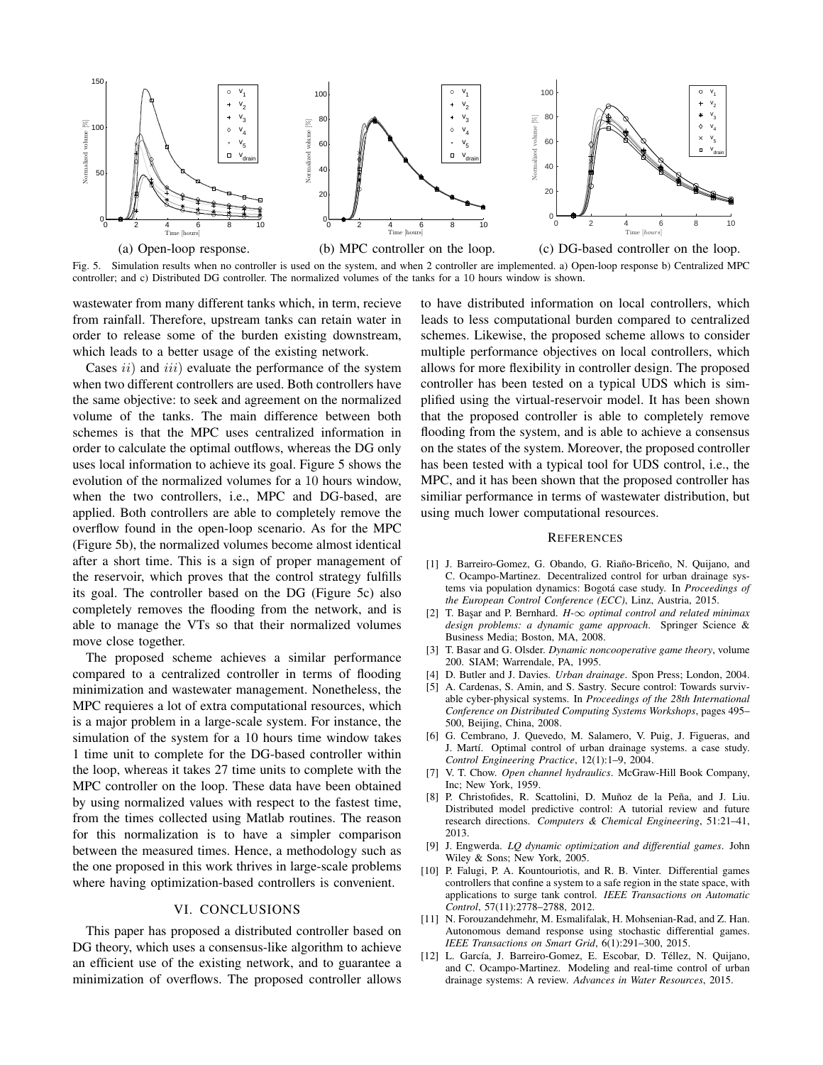

Fig. 5. Simulation results when no controller is used on the system, and when 2 controller are implemented. a) Open-loop response b) Centralized MPC controller; and c) Distributed DG controller. The normalized volumes of the tanks for a 10 hours window is shown.

wastewater from many different tanks which, in term, recieve from rainfall. Therefore, upstream tanks can retain water in order to release some of the burden existing downstream, which leads to a better usage of the existing network.

Cases  $ii)$  and  $iii)$  evaluate the performance of the system when two different controllers are used. Both controllers have the same objective: to seek and agreement on the normalized volume of the tanks. The main difference between both schemes is that the MPC uses centralized information in order to calculate the optimal outflows, whereas the DG only uses local information to achieve its goal. Figure 5 shows the evolution of the normalized volumes for a 10 hours window, when the two controllers, i.e., MPC and DG-based, are applied. Both controllers are able to completely remove the overflow found in the open-loop scenario. As for the MPC (Figure 5b), the normalized volumes become almost identical after a short time. This is a sign of proper management of the reservoir, which proves that the control strategy fulfills its goal. The controller based on the DG (Figure 5c) also completely removes the flooding from the network, and is able to manage the VTs so that their normalized volumes move close together.

The proposed scheme achieves a similar performance compared to a centralized controller in terms of flooding minimization and wastewater management. Nonetheless, the MPC requieres a lot of extra computational resources, which is a major problem in a large-scale system. For instance, the simulation of the system for a 10 hours time window takes 1 time unit to complete for the DG-based controller within the loop, whereas it takes 27 time units to complete with the MPC controller on the loop. These data have been obtained by using normalized values with respect to the fastest time, from the times collected using Matlab routines. The reason for this normalization is to have a simpler comparison between the measured times. Hence, a methodology such as the one proposed in this work thrives in large-scale problems where having optimization-based controllers is convenient.

## VI. CONCLUSIONS

This paper has proposed a distributed controller based on DG theory, which uses a consensus-like algorithm to achieve an efficient use of the existing network, and to guarantee a minimization of overflows. The proposed controller allows

to have distributed information on local controllers, which leads to less computational burden compared to centralized schemes. Likewise, the proposed scheme allows to consider multiple performance objectives on local controllers, which allows for more flexibility in controller design. The proposed controller has been tested on a typical UDS which is simplified using the virtual-reservoir model. It has been shown that the proposed controller is able to completely remove flooding from the system, and is able to achieve a consensus on the states of the system. Moreover, the proposed controller has been tested with a typical tool for UDS control, i.e., the MPC, and it has been shown that the proposed controller has similiar performance in terms of wastewater distribution, but using much lower computational resources.

#### **REFERENCES**

- [1] J. Barreiro-Gomez, G. Obando, G. Riaño-Briceño, N. Quijano, and C. Ocampo-Martinez. Decentralized control for urban drainage systems via population dynamics: Bogotá case study. In *Proceedings of the European Control Conference (ECC)*, Linz, Austria, 2015.
- [2] T. Bas¸ar and P. Bernhard. *H-*∞ *optimal control and related minimax design problems: a dynamic game approach*. Springer Science & Business Media; Boston, MA, 2008.
- [3] T. Basar and G. Olsder. *Dynamic noncooperative game theory*, volume 200. SIAM; Warrendale, PA, 1995.
- [4] D. Butler and J. Davies. *Urban drainage*. Spon Press; London, 2004.
- [5] A. Cardenas, S. Amin, and S. Sastry. Secure control: Towards survivable cyber-physical systems. In *Proceedings of the 28th International Conference on Distributed Computing Systems Workshops*, pages 495– 500, Beijing, China, 2008.
- [6] G. Cembrano, J. Quevedo, M. Salamero, V. Puig, J. Figueras, and J. Martí. Optimal control of urban drainage systems. a case study. *Control Engineering Practice*, 12(1):1–9, 2004.
- [7] V. T. Chow. *Open channel hydraulics*. McGraw-Hill Book Company, Inc; New York, 1959.
- [8] P. Christofides, R. Scattolini, D. Muñoz de la Peña, and J. Liu. Distributed model predictive control: A tutorial review and future research directions. *Computers & Chemical Engineering*, 51:21–41, 2013.
- [9] J. Engwerda. *LQ dynamic optimization and differential games*. John Wiley & Sons; New York, 2005.
- [10] P. Falugi, P. A. Kountouriotis, and R. B. Vinter. Differential games controllers that confine a system to a safe region in the state space, with applications to surge tank control. *IEEE Transactions on Automatic Control*, 57(11):2778–2788, 2012.
- [11] N. Forouzandehmehr, M. Esmalifalak, H. Mohsenian-Rad, and Z. Han. Autonomous demand response using stochastic differential games. *IEEE Transactions on Smart Grid*, 6(1):291–300, 2015.
- [12] L. García, J. Barreiro-Gomez, E. Escobar, D. Téllez, N. Quijano, and C. Ocampo-Martinez. Modeling and real-time control of urban drainage systems: A review. *Advances in Water Resources*, 2015.